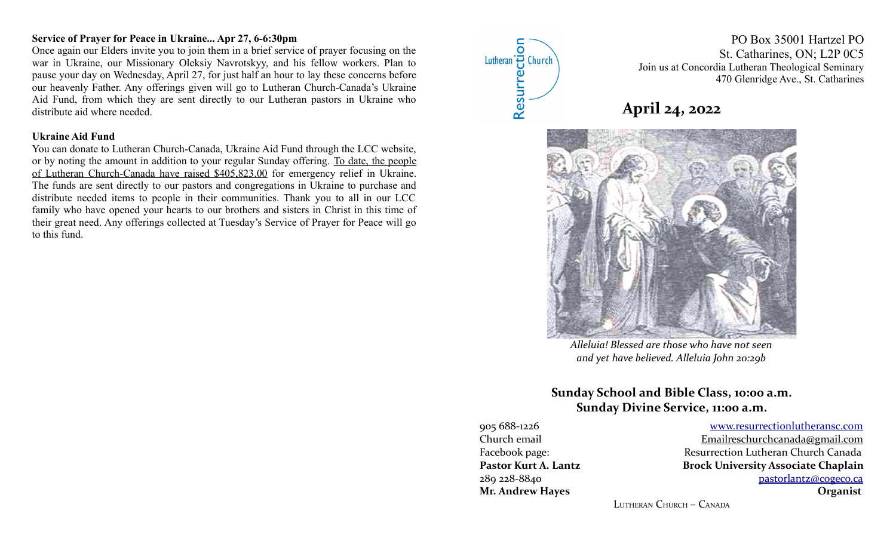## **Service of Prayer for Peace in Ukraine... Apr 27, 6-6:30pm**

Once again our Elders invite you to join them in a brief service of prayer focusing on the war in Ukraine, our Missionary Oleksiy Navrotskyy, and his fellow workers. Plan to pause your day on Wednesday, April 27, for just half an hour to lay these concerns before our heavenly Father. Any offerings given will go to Lutheran Church-Canada's Ukraine Aid Fund, from which they are sent directly to our Lutheran pastors in Ukraine who distribute aid where needed.

#### **Ukraine Aid Fund**

You can donate to Lutheran Church-Canada, Ukraine Aid Fund through the LCC website, or by noting the amount in addition to your regular Sunday offering. To date, the people of Lutheran Church-Canada have raised \$405,823.00 for emergency relief in Ukraine. The funds are sent directly to our pastors and congregations in Ukraine to purchase and distribute needed items to people in their communities. Thank you to all in our LCC family who have opened your hearts to our brothers and sisters in Christ in this time of their great need. Any offerings collected at Tuesday's Service of Prayer for Peace will go to this fund.



PO Box 35001 Hartzel PO St. Catharines, ON; L2P 0C5 Join us at Concordia Lutheran Theological Seminary 470 Glenridge Ave., St. Catharines





*Alleluia! Blessed are those who have not seen and yet have believed. Alleluia John 20:29b*

# **Sunday School and Bible Class, 10:00 a.m. Sunday Divine Service, 11:00 a.m.**

905 688-1226 [www.resurrectionl utherans c.c om](http://www.resurrectionlc.ca/) Church email Emailreschur chcanada@gmail.com

Facebook page: Resurrection Lutheran Church Canada Pastor Kurt A. Lantz **Brock University Associate Chaplain** 289 228-8840 [pastorlantz@cogeco.ca](mailto:pastorlantz@cogeco.ca) **Mr. Andrew Hayes Organist**

LUTHERAN CHURCH – CANADA